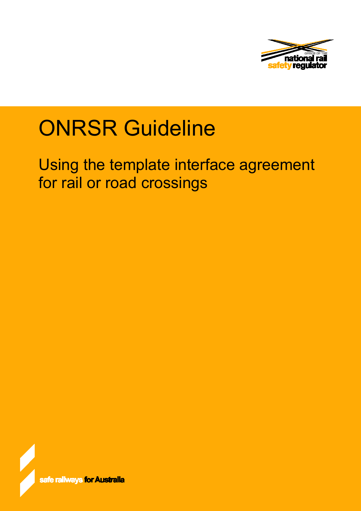

# **ONRSR Guideline**

Using the template interface agreement for rail or road crossings

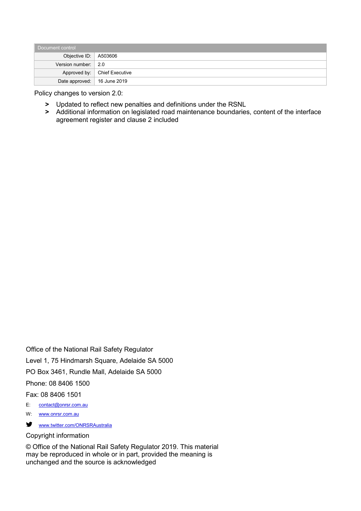| Document control              |                                |  |  |  |
|-------------------------------|--------------------------------|--|--|--|
| Objective ID:   A503606       |                                |  |  |  |
| Version number: $\vert$ 2.0   |                                |  |  |  |
|                               | Approved by:   Chief Executive |  |  |  |
| Date approved:   16 June 2019 |                                |  |  |  |

Policy changes to version 2.0:

- **>** Updated to reflect new penalties and definitions under the RSNL
- **>** Additional information on legislated road maintenance boundaries, content of the interface agreement register and clause 2 included

Office of the National Rail Safety Regulator Level 1, 75 Hindmarsh Square, Adelaide SA 5000 PO Box 3461, Rundle Mall, Adelaide SA 5000 Phone: 08 8406 1500 Fax: 08 8406 1501 E: [contact@onrsr.com.au](mailto:contact@onrsr.com.au)

- W: [www.onrsr.com.au](http://www.onrsr.com.au/)
- [www.twitter.com/ONRSRAustralia](http://www.twitter.com/ONRSRAustralia)

#### Copyright information

© Office of the National Rail Safety Regulator 2019. This material may be reproduced in whole or in part, provided the meaning is unchanged and the source is acknowledged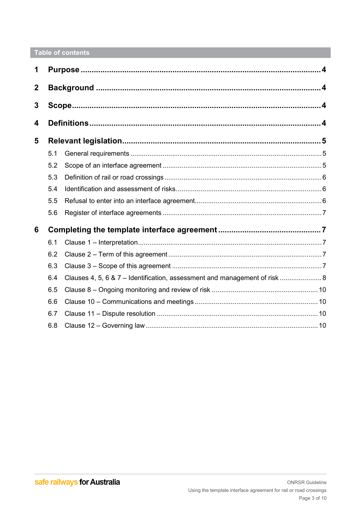# Table of contents

| 1           |     |                                                                            |  |  |
|-------------|-----|----------------------------------------------------------------------------|--|--|
| $\mathbf 2$ |     |                                                                            |  |  |
| 3           |     |                                                                            |  |  |
| 4           |     |                                                                            |  |  |
| 5           |     |                                                                            |  |  |
|             | 5.1 |                                                                            |  |  |
|             | 5.2 |                                                                            |  |  |
|             | 5.3 |                                                                            |  |  |
|             | 5.4 |                                                                            |  |  |
|             | 5.5 |                                                                            |  |  |
|             | 5.6 |                                                                            |  |  |
| 6           |     |                                                                            |  |  |
|             | 6.1 |                                                                            |  |  |
|             | 6.2 |                                                                            |  |  |
|             | 6.3 |                                                                            |  |  |
|             | 6.4 | Clauses 4, 5, 6 & 7 - Identification, assessment and management of risk  8 |  |  |
|             | 6.5 |                                                                            |  |  |
|             | 6.6 |                                                                            |  |  |
|             | 6.7 |                                                                            |  |  |
|             | 6.8 |                                                                            |  |  |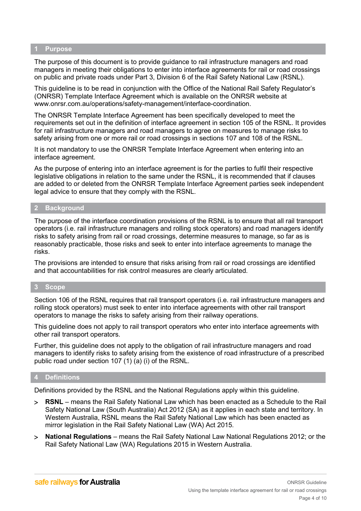#### <span id="page-3-0"></span>**1 Purpose**

The purpose of this document is to provide guidance to rail infrastructure managers and road managers in meeting their obligations to enter into interface agreements for rail or road crossings on public and private roads under Part 3, Division 6 of the Rail Safety National Law (RSNL).

This guideline is to be read in conjunction with the Office of the National Rail Safety Regulator's (ONRSR) Template Interface Agreement which is available on the ONRSR website at [www.onrsr.com.au/operations/safety-management/interface-coordination.](http://www.onrsr.com.au/operations/safety-management/interface-coordination)

The ONRSR Template Interface Agreement has been specifically developed to meet the requirements set out in the definition of interface agreement in section 105 of the RSNL. It provides for rail infrastructure managers and road managers to agree on measures to manage risks to safety arising from one or more rail or road crossings in sections 107 and 108 of the RSNL.

It is not mandatory to use the ONRSR Template Interface Agreement when entering into an interface agreement.

As the purpose of entering into an interface agreement is for the parties to fulfil their respective legislative obligations in relation to the same under the RSNL, it is recommended that if clauses are added to or deleted from the ONRSR Template Interface Agreement parties seek independent legal advice to ensure that they comply with the RSNL.

#### <span id="page-3-1"></span>**2 Background**

The purpose of the interface coordination provisions of the RSNL is to ensure that all rail transport operators (i.e. rail infrastructure managers and rolling stock operators) and road managers identify risks to safety arising from rail or road crossings, determine measures to manage, so far as is reasonably practicable, those risks and seek to enter into interface agreements to manage the risks.

The provisions are intended to ensure that risks arising from rail or road crossings are identified and that accountabilities for risk control measures are clearly articulated.

#### <span id="page-3-2"></span>**3 Scope**

Section 106 of the RSNL requires that rail transport operators (i.e. rail infrastructure managers and rolling stock operators) must seek to enter into interface agreements with other rail transport operators to manage the risks to safety arising from their railway operations.

This guideline does not apply to rail transport operators who enter into interface agreements with other rail transport operators.

Further, this guideline does not apply to the obligation of rail infrastructure managers and road managers to identify risks to safety arising from the existence of road infrastructure of a prescribed public road under section 107 (1) (a) (i) of the RSNL.

#### <span id="page-3-3"></span>**4 Definitions**

Definitions provided by the RSNL and the National Regulations apply within this guideline.

- > **RSNL** means the Rail Safety National Law which has been enacted as a Schedule to the Rail Safety National Law (South Australia) Act 2012 (SA) as it applies in each state and territory. In Western Australia, RSNL means the Rail Safety National Law which has been enacted as mirror legislation in the Rail Safety National Law (WA) Act 2015.
- > **National Regulations** means the Rail Safety National Law National Regulations 2012; or the Rail Safety National Law (WA) Regulations 2015 in Western Australia.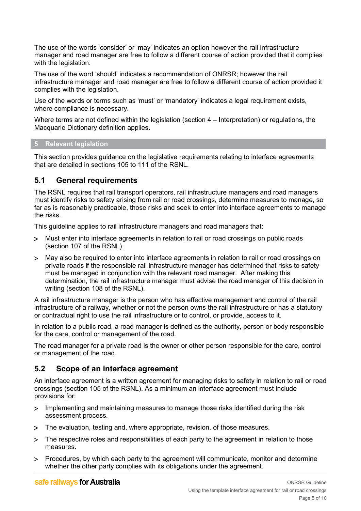The use of the words 'consider' or 'may' indicates an option however the rail infrastructure manager and road manager are free to follow a different course of action provided that it complies with the legislation.

The use of the word 'should' indicates a recommendation of ONRSR; however the rail infrastructure manager and road manager are free to follow a different course of action provided it complies with the legislation.

Use of the words or terms such as 'must' or 'mandatory' indicates a legal requirement exists, where compliance is necessary.

Where terms are not defined within the legislation (section  $4 -$  Interpretation) or regulations, the Macquarie Dictionary definition applies.

#### <span id="page-4-0"></span>**5 Relevant legislation**

This section provides guidance on the legislative requirements relating to interface agreements that are detailed in sections 105 to 111 of the RSNL.

## <span id="page-4-1"></span>**5.1 General requirements**

The RSNL requires that rail transport operators, rail infrastructure managers and road managers must identify risks to safety arising from rail or road crossings, determine measures to manage, so far as is reasonably practicable, those risks and seek to enter into interface agreements to manage the risks.

This guideline applies to rail infrastructure managers and road managers that:

- > Must enter into interface agreements in relation to rail or road crossings on public roads (section 107 of the RSNL).
- > May also be required to enter into interface agreements in relation to rail or road crossings on private roads if the responsible rail infrastructure manager has determined that risks to safety must be managed in conjunction with the relevant road manager. After making this determination, the rail infrastructure manager must advise the road manager of this decision in writing (section 108 of the RSNL).

A rail infrastructure manager is the person who has effective management and control of the rail infrastructure of a railway, whether or not the person owns the rail infrastructure or has a statutory or contractual right to use the rail infrastructure or to control, or provide, access to it.

In relation to a public road, a road manager is defined as the authority, person or body responsible for the care, control or management of the road.

The road manager for a private road is the owner or other person responsible for the care, control or management of the road.

## <span id="page-4-2"></span>**5.2 Scope of an interface agreement**

An interface agreement is a written agreement for managing risks to safety in relation to rail or road crossings (section 105 of the RSNL). As a minimum an interface agreement must include provisions for:

- > Implementing and maintaining measures to manage those risks identified during the risk assessment process.
- > The evaluation, testing and, where appropriate, revision, of those measures.
- > The respective roles and responsibilities of each party to the agreement in relation to those measures.
- > Procedures, by which each party to the agreement will communicate, monitor and determine whether the other party complies with its obligations under the agreement.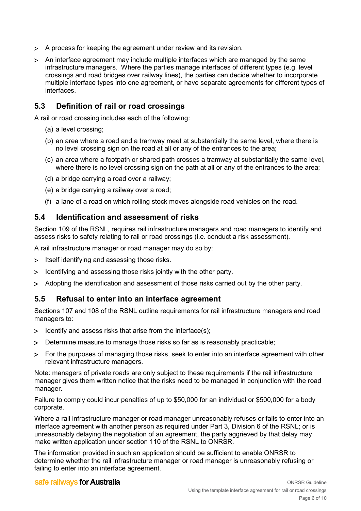- > A process for keeping the agreement under review and its revision.
- > An interface agreement may include multiple interfaces which are managed by the same infrastructure managers. Where the parties manage interfaces of different types (e.g. level crossings and road bridges over railway lines), the parties can decide whether to incorporate multiple interface types into one agreement, or have separate agreements for different types of interfaces.

## <span id="page-5-0"></span>**5.3 Definition of rail or road crossings**

A rail or road crossing includes each of the following:

- (a) a level crossing;
- (b) an area where a road and a tramway meet at substantially the same level, where there is no level crossing sign on the road at all or any of the entrances to the area;
- (c) an area where a footpath or shared path crosses a tramway at substantially the same level, where there is no level crossing sign on the path at all or any of the entrances to the area;
- (d) a bridge carrying a road over a railway;
- (e) a bridge carrying a railway over a road;
- (f) a lane of a road on which rolling stock moves alongside road vehicles on the road.

## <span id="page-5-1"></span>**5.4 Identification and assessment of risks**

Section 109 of the RSNL, requires rail infrastructure managers and road managers to identify and assess risks to safety relating to rail or road crossings (i.e. conduct a risk assessment).

A rail infrastructure manager or road manager may do so by:

- > Itself identifying and assessing those risks.
- > Identifying and assessing those risks jointly with the other party.
- > Adopting the identification and assessment of those risks carried out by the other party.

### <span id="page-5-2"></span>**5.5 Refusal to enter into an interface agreement**

Sections 107 and 108 of the RSNL outline requirements for rail infrastructure managers and road managers to:

- > Identify and assess risks that arise from the interface(s);
- > Determine measure to manage those risks so far as is reasonably practicable;
- > For the purposes of managing those risks, seek to enter into an interface agreement with other relevant infrastructure managers.

Note: managers of private roads are only subject to these requirements if the rail infrastructure manager gives them written notice that the risks need to be managed in conjunction with the road manager.

Failure to comply could incur penalties of up to \$50,000 for an individual or \$500,000 for a body corporate.

Where a rail infrastructure manager or road manager unreasonably refuses or fails to enter into an interface agreement with another person as required under Part 3, Division 6 of the RSNL; or is unreasonably delaying the negotiation of an agreement, the party aggrieved by that delay may make written application under section 110 of the RSNL to ONRSR.

The information provided in such an application should be sufficient to enable ONRSR to determine whether the rail infrastructure manager or road manager is unreasonably refusing or failing to enter into an interface agreement.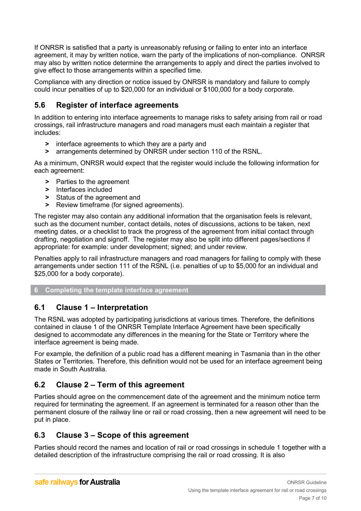If ONRSR is satisfied that a party is unreasonably refusing or failing to enter into an interface agreement, it may by written notice, warn the party of the implications of non-compliance. ONRSR may also by written notice determine the arrangements to apply and direct the parties involved to give effect to those arrangements within a specified time.

Compliance with any direction or notice issued by ONRSR is mandatory and failure to comply could incur penalties of up to \$20,000 for an individual or \$100,000 for a body corporate.

## <span id="page-6-0"></span>**5.6 Register of interface agreements**

In addition to entering into interface agreements to manage risks to safety arising from rail or road crossings, rail infrastructure managers and road managers must each maintain a register that includes:

- **>** interface agreements to which they are a party and
- **>** arrangements determined by ONRSR under section 110 of the RSNL.

As a minimum, ONRSR would expect that the register would include the following information for each agreement:

- **>** Parties to the agreement
- **>** Interfaces included
- **>** Status of the agreement and
- **>** Review timeframe (for signed agreements).

The register may also contain any additional information that the organisation feels is relevant, such as the document number, contact details, notes of discussions, actions to be taken, next meeting dates, or a checklist to track the progress of the agreement from initial contact through drafting, negotiation and signoff. The register may also be split into different pages/sections if appropriate: for example: under development; signed; and under review.

Penalties apply to rail infrastructure managers and road managers for failing to comply with these arrangements under section 111 of the RSNL (i.e. penalties of up to \$5,000 for an individual and \$25,000 for a body corporate).

#### <span id="page-6-1"></span>**6 Completing the template interface agreement**

### <span id="page-6-2"></span>**6.1 Clause 1 – Interpretation**

The RSNL was adopted by participating jurisdictions at various times. Therefore, the definitions contained in clause 1 of the ONRSR Template Interface Agreement have been specifically designed to accommodate any differences in the meaning for the State or Territory where the interface agreement is being made.

For example, the definition of a public road has a different meaning in Tasmania than in the other States or Territories. Therefore, this definition would not be used for an interface agreement being made in South Australia.

### <span id="page-6-3"></span>**6.2 Clause 2 – Term of this agreement**

Parties should agree on the commencement date of the agreement and the minimum notice term required for terminating the agreement. If an agreement is terminated for a reason other than the permanent closure of the railway line or rail or road crossing, then a new agreement will need to be put in place.

### <span id="page-6-4"></span>**6.3 Clause 3 – Scope of this agreement**

Parties should record the names and location of rail or road crossings in schedule 1 together with a detailed description of the infrastructure comprising the rail or road crossing. It is also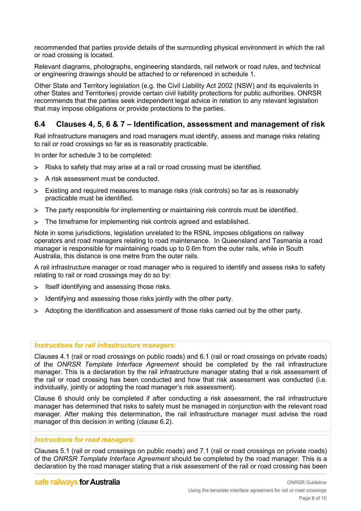recommended that parties provide details of the surrounding physical environment in which the rail or road crossing is located.

Relevant diagrams, photographs, engineering standards, rail network or road rules, and technical or engineering drawings should be attached to or referenced in schedule 1.

Other State and Territory legislation (e.g. the Civil Liability Act 2002 (NSW) and its equivalents in other States and Territories) provide certain civil liability protections for public authorities. ONRSR recommends that the parties seek independent legal advice in relation to any relevant legislation that may impose obligations or provide protections to the parties.

## <span id="page-7-0"></span>**6.4 Clauses 4, 5, 6 & 7 – Identification, assessment and management of risk**

Rail infrastructure managers and road managers must identify, assess and manage risks relating to rail or road crossings so far as is reasonably practicable.

In order for schedule 3 to be completed:

- > Risks to safety that may arise at a rail or road crossing must be identified.
- > A risk assessment must be conducted.
- > Existing and required measures to manage risks (risk controls) so far as is reasonably practicable must be identified.
- > The party responsible for implementing or maintaining risk controls must be identified.
- > The timeframe for implementing risk controls agreed and established.

Note in some jurisdictions, legislation unrelated to the RSNL imposes obligations on railway operators and road managers relating to road maintenance. In Queensland and Tasmania a road manager is responsible for maintaining roads up to 0.6m from the outer rails, while in South Australia, this distance is one metre from the outer rails.

A rail infrastructure manager or road manager who is required to identify and assess risks to safety relating to rail or road crossings may do so by:

- > Itself identifying and assessing those risks.
- > Identifying and assessing those risks jointly with the other party.
- > Adopting the identification and assessment of those risks carried out by the other party.

#### *Instructions for rail infrastructure managers:*

Clauses 4.1 (rail or road crossings on public roads) and 6.1 (rail or road crossings on private roads) of the *ONRSR Template Interface Agreement* should be completed by the rail infrastructure manager. This is a declaration by the rail infrastructure manager stating that a risk assessment of the rail or road crossing has been conducted and how that risk assessment was conducted (i.e. individually, jointly or adopting the road manager's risk assessment).

Clause 6 should only be completed if after conducting a risk assessment, the rail infrastructure manager has determined that risks to safety must be managed in conjunction with the relevant road manager. After making this determination, the rail infrastructure manager must advise the road manager of this decision in writing (clause 6.2).

#### *Instructions for road managers:*

Clauses 5.1 (rail or road crossings on public roads) and 7.1 (rail or road crossings on private roads) of the *ONRSR Template Interface Agreement* should be completed by the road manager. This is a declaration by the road manager stating that a risk assessment of the rail or road crossing has been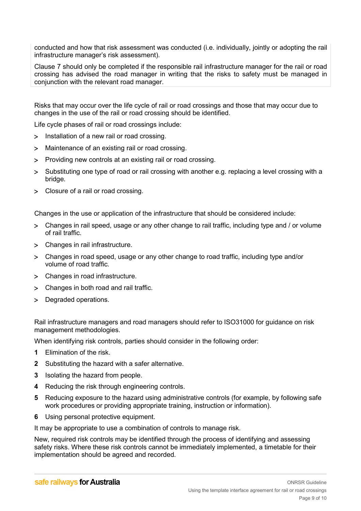conducted and how that risk assessment was conducted (i.e. individually, jointly or adopting the rail infrastructure manager's risk assessment).

Clause 7 should only be completed if the responsible rail infrastructure manager for the rail or road crossing has advised the road manager in writing that the risks to safety must be managed in conjunction with the relevant road manager.

Risks that may occur over the life cycle of rail or road crossings and those that may occur due to changes in the use of the rail or road crossing should be identified.

Life cycle phases of rail or road crossings include:

- > Installation of a new rail or road crossing.
- > Maintenance of an existing rail or road crossing.
- > Providing new controls at an existing rail or road crossing.
- > Substituting one type of road or rail crossing with another e.g. replacing a level crossing with a bridge.
- > Closure of a rail or road crossing.

Changes in the use or application of the infrastructure that should be considered include:

- > Changes in rail speed, usage or any other change to rail traffic, including type and / or volume of rail traffic.
- > Changes in rail infrastructure.
- > Changes in road speed, usage or any other change to road traffic, including type and/or volume of road traffic.
- > Changes in road infrastructure.
- > Changes in both road and rail traffic.
- > Degraded operations.

Rail infrastructure managers and road managers should refer to ISO31000 for guidance on risk management methodologies.

When identifying risk controls, parties should consider in the following order:

- **1** Elimination of the risk.
- **2** Substituting the hazard with a safer alternative.
- **3** Isolating the hazard from people.
- **4** Reducing the risk through engineering controls.
- **5** Reducing exposure to the hazard using administrative controls (for example, by following safe work procedures or providing appropriate training, instruction or information).
- **6** Using personal protective equipment.

It may be appropriate to use a combination of controls to manage risk.

New, required risk controls may be identified through the process of identifying and assessing safety risks. Where these risk controls cannot be immediately implemented, a timetable for their implementation should be agreed and recorded.